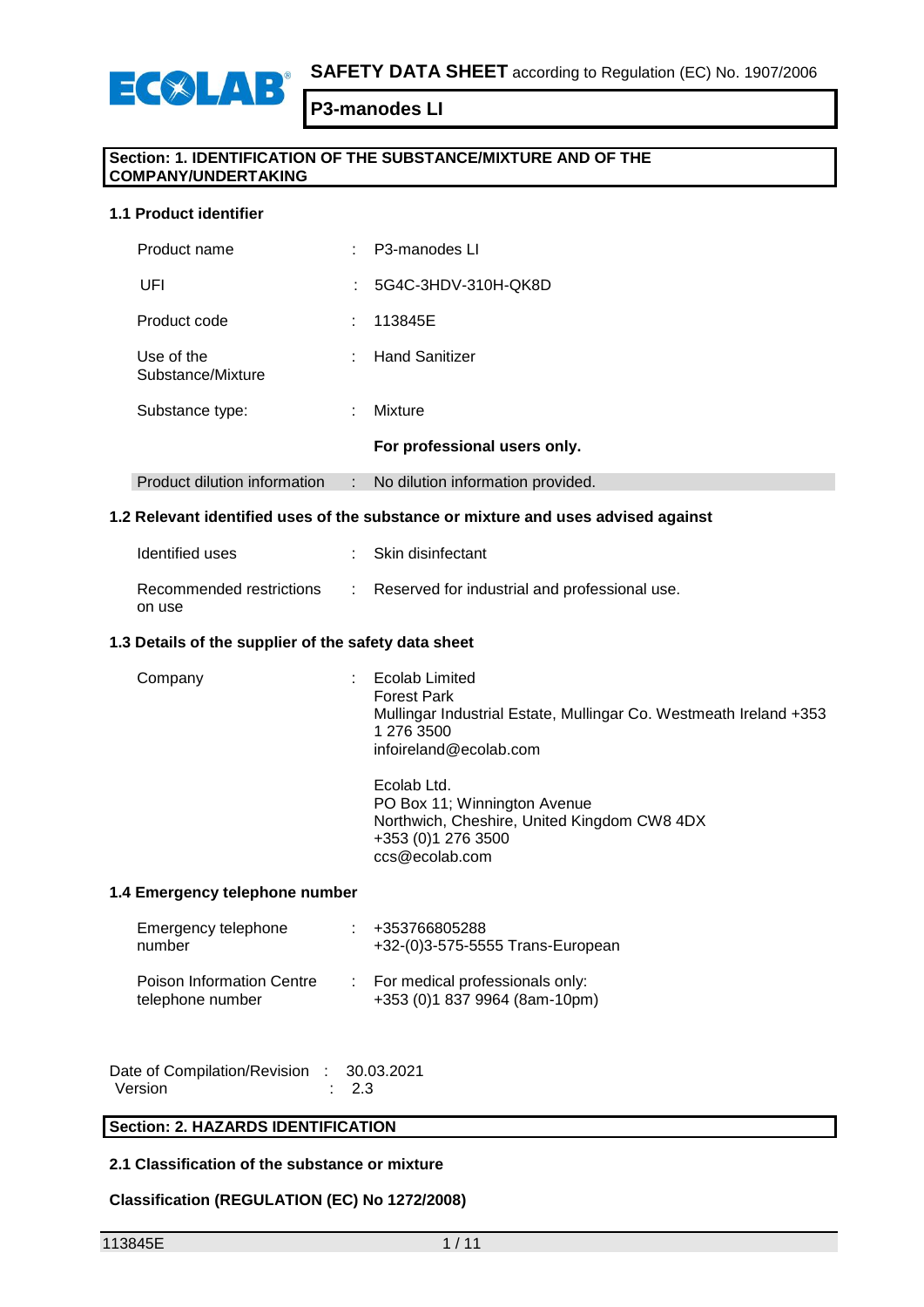

## **Section: 1. IDENTIFICATION OF THE SUBSTANCE/MIXTURE AND OF THE COMPANY/UNDERTAKING**

#### **1.1 Product identifier**

**ECOLAB** 

| Product name                    | ÷ | P3-manodes LI                     |
|---------------------------------|---|-----------------------------------|
| UFI                             |   | 5G4C-3HDV-310H-QK8D               |
| Product code                    | ÷ | 113845E                           |
| Use of the<br>Substance/Mixture | ÷ | <b>Hand Sanitizer</b>             |
| Substance type:                 | ÷ | Mixture                           |
|                                 |   | For professional users only.      |
| Product dilution information    | ÷ | No dilution information provided. |

#### **1.2 Relevant identified uses of the substance or mixture and uses advised against**

| Identified uses                    | : Skin disinfectant                           |
|------------------------------------|-----------------------------------------------|
| Recommended restrictions<br>on use | Reserved for industrial and professional use. |

#### **1.3 Details of the supplier of the safety data sheet**

| Company | Ecolab Limited<br><b>Forest Park</b><br>Mullingar Industrial Estate, Mullingar Co. Westmeath Ireland +353<br>1 276 3500<br>infoireland@ecolab.com |
|---------|---------------------------------------------------------------------------------------------------------------------------------------------------|
|         | Ecolab Ltd.<br>PO Box 11; Winnington Avenue<br>Northwich, Cheshire, United Kingdom CW8 4DX<br>+353 (0) 1 276 3500<br>ccs@ecolab.com               |

#### **1.4 Emergency telephone number**

| Emergency telephone<br>number                 | +353766805288<br>+32-(0)3-575-5555 Trans-European                  |
|-----------------------------------------------|--------------------------------------------------------------------|
| Poison Information Centre<br>telephone number | : For medical professionals only:<br>+353 (0)1 837 9964 (8am-10pm) |

| Date of Compilation/Revision : 30.03.2021 |                  |
|-------------------------------------------|------------------|
| Version                                   | $\therefore$ 2.3 |

## **Section: 2. HAZARDS IDENTIFICATION**

## **2.1 Classification of the substance or mixture**

## **Classification (REGULATION (EC) No 1272/2008)**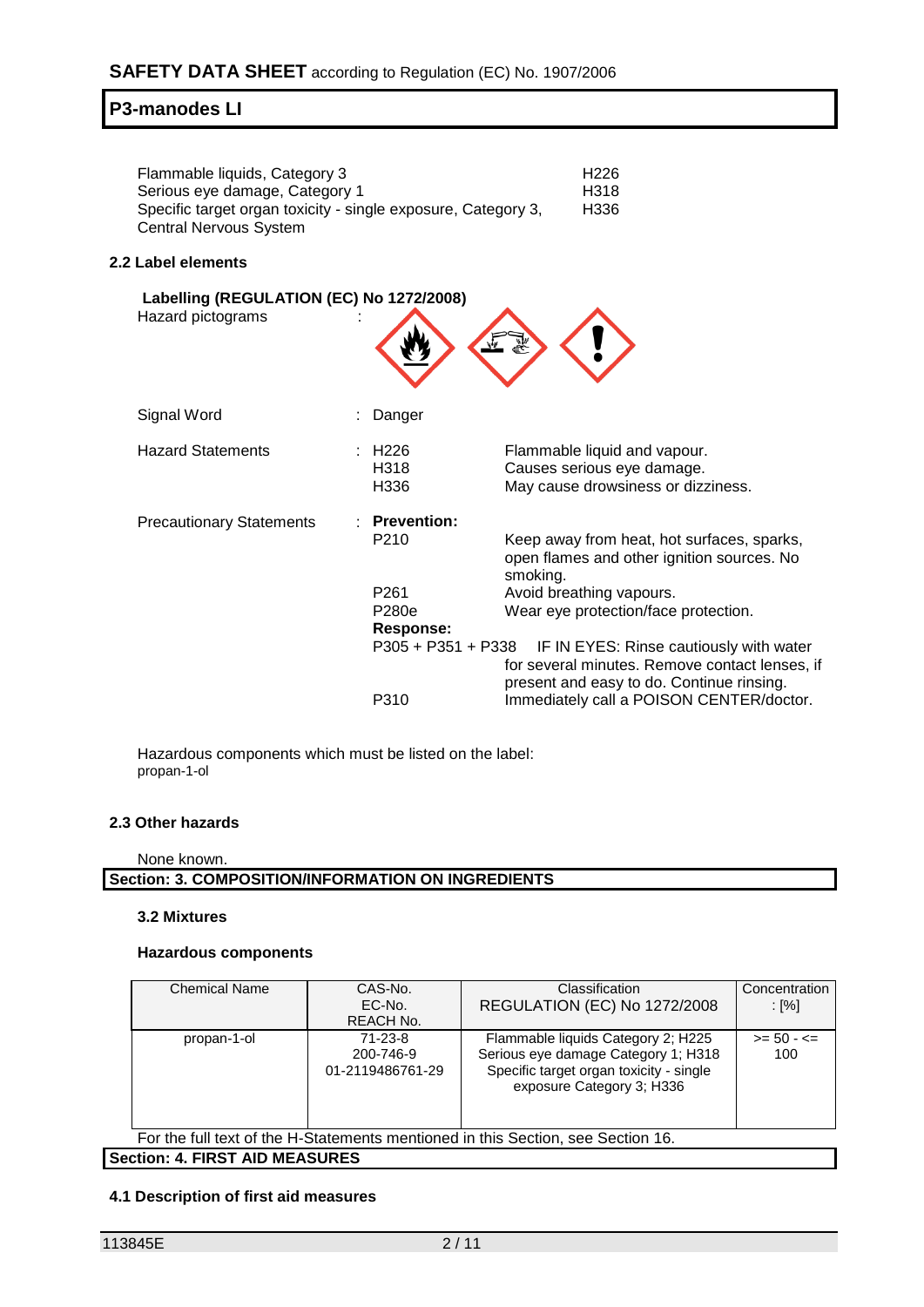| Flammable liquids, Category 3                                 | H <sub>226</sub> |
|---------------------------------------------------------------|------------------|
| Serious eye damage, Category 1                                | H318             |
| Specific target organ toxicity - single exposure, Category 3, | H336             |
| Central Nervous System                                        |                  |

#### **2.2 Label elements**

| Labelling (REGULATION (EC) No 1272/2008)<br>Hazard pictograms |                                                                                         |                                                                                                                                                                                                                                        |
|---------------------------------------------------------------|-----------------------------------------------------------------------------------------|----------------------------------------------------------------------------------------------------------------------------------------------------------------------------------------------------------------------------------------|
| Signal Word                                                   | Danger                                                                                  |                                                                                                                                                                                                                                        |
| <b>Hazard Statements</b>                                      | : H226<br>H318<br>H336                                                                  | Flammable liquid and vapour.<br>Causes serious eye damage.<br>May cause drowsiness or dizziness.                                                                                                                                       |
| <b>Precautionary Statements</b>                               | <b>Prevention:</b><br>P <sub>210</sub><br>P <sub>261</sub><br>P280e<br><b>Response:</b> | Keep away from heat, hot surfaces, sparks,<br>open flames and other ignition sources. No<br>smoking.<br>Avoid breathing vapours.<br>Wear eye protection/face protection.<br>P305 + P351 + P338 IF IN EYES: Rinse cautiously with water |
|                                                               | P310                                                                                    | for several minutes. Remove contact lenses, if<br>present and easy to do. Continue rinsing.<br>Immediately call a POISON CENTER/doctor.                                                                                                |

Hazardous components which must be listed on the label: propan-1-ol

#### **2.3 Other hazards**

#### None known.

**Section: 3. COMPOSITION/INFORMATION ON INGREDIENTS**

#### **3.2 Mixtures**

#### **Hazardous components**

| <b>Chemical Name</b>                                                             | CAS-No.<br>EC-No.<br>REACH No.           | Classification<br>REGULATION (EC) No 1272/2008                                                                                                    | Concentration<br>: [%]  |  |  |  |
|----------------------------------------------------------------------------------|------------------------------------------|---------------------------------------------------------------------------------------------------------------------------------------------------|-------------------------|--|--|--|
| propan-1-ol                                                                      | 71-23-8<br>200-746-9<br>01-2119486761-29 | Flammable liquids Category 2; H225<br>Serious eye damage Category 1; H318<br>Specific target organ toxicity - single<br>exposure Category 3; H336 | $>= 50 - 5 = 50$<br>100 |  |  |  |
| For the full text of the H-Statements mentioned in this Section, see Section 16. |                                          |                                                                                                                                                   |                         |  |  |  |

**Section: 4. FIRST AID MEASURES**

## **4.1 Description of first aid measures**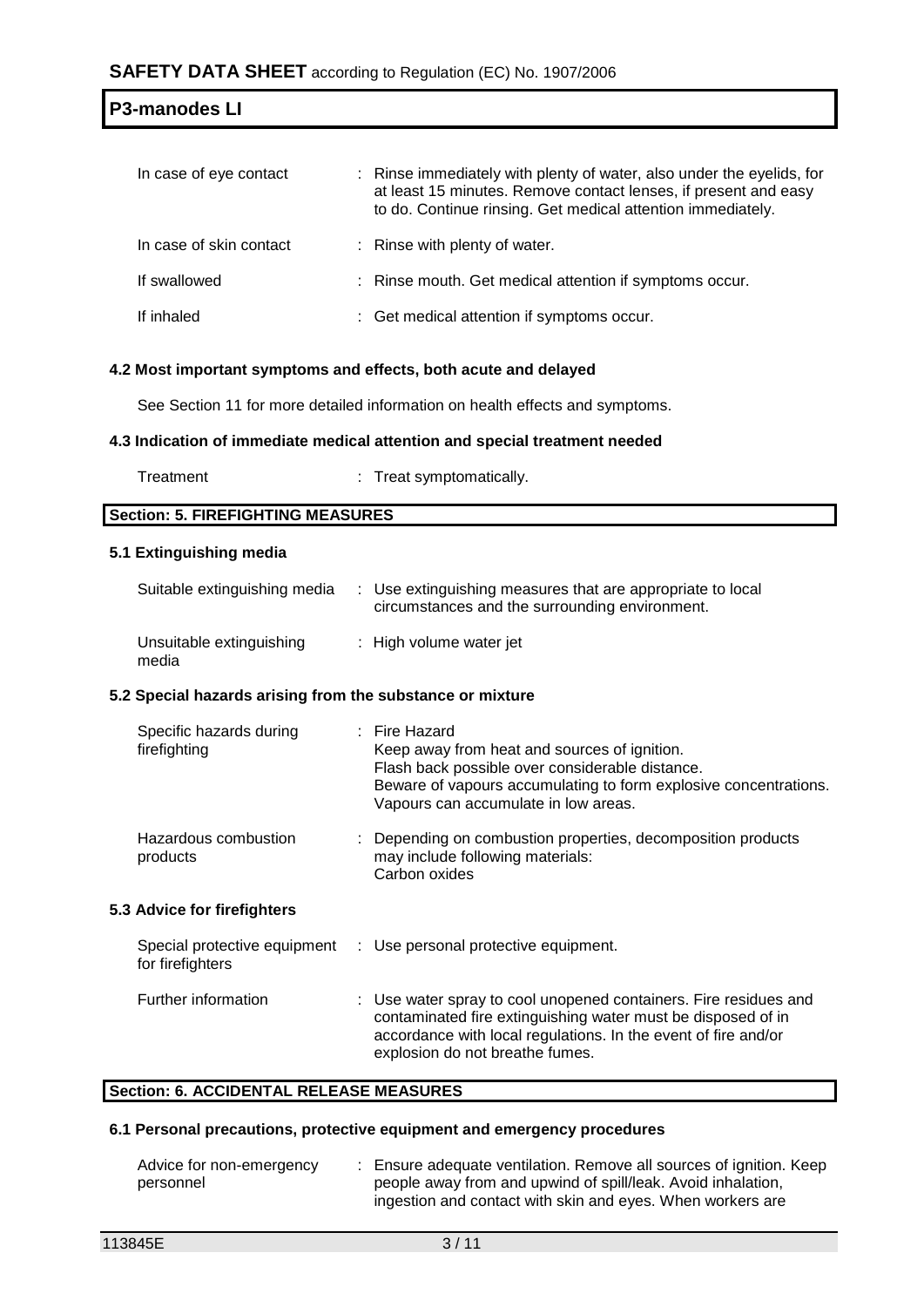| In case of eye contact  | : Rinse immediately with plenty of water, also under the eyelids, for<br>at least 15 minutes. Remove contact lenses, if present and easy<br>to do. Continue rinsing. Get medical attention immediately. |
|-------------------------|---------------------------------------------------------------------------------------------------------------------------------------------------------------------------------------------------------|
| In case of skin contact | : Rinse with plenty of water.                                                                                                                                                                           |
| If swallowed            | : Rinse mouth. Get medical attention if symptoms occur.                                                                                                                                                 |
| If inhaled              | : Get medical attention if symptoms occur.                                                                                                                                                              |

#### **4.2 Most important symptoms and effects, both acute and delayed**

See Section 11 for more detailed information on health effects and symptoms.

#### **4.3 Indication of immediate medical attention and special treatment needed**

Treatment : Treat symptomatically.

**Section: 5. FIREFIGHTING MEASURES**

## **5.1 Extinguishing media**

| Suitable extinguishing media      | : Use extinguishing measures that are appropriate to local<br>circumstances and the surrounding environment. |
|-----------------------------------|--------------------------------------------------------------------------------------------------------------|
| Unsuitable extinguishing<br>media | : High volume water jet                                                                                      |

## **5.2 Special hazards arising from the substance or mixture**

| Specific hazards during<br>firefighting          | $:$ Fire Hazard<br>Keep away from heat and sources of ignition.<br>Flash back possible over considerable distance.<br>Beware of vapours accumulating to form explosive concentrations.<br>Vapours can accumulate in low areas. |
|--------------------------------------------------|--------------------------------------------------------------------------------------------------------------------------------------------------------------------------------------------------------------------------------|
| Hazardous combustion<br>products                 | : Depending on combustion properties, decomposition products<br>may include following materials:<br>Carbon oxides                                                                                                              |
| <b>5.3 Advice for firefighters</b>               |                                                                                                                                                                                                                                |
| Special protective equipment<br>for firefighters | : Use personal protective equipment.                                                                                                                                                                                           |
| Further information                              | : Use water spray to cool unopened containers. Fire residues and<br>contaminated fire extinguishing water must be disposed of in<br>accordance with local regulations. In the event of fire and/or                             |

#### **Section: 6. ACCIDENTAL RELEASE MEASURES**

### **6.1 Personal precautions, protective equipment and emergency procedures**

| Advice for non-emergency | : Ensure adequate ventilation. Remove all sources of ignition. Keep |
|--------------------------|---------------------------------------------------------------------|
| personnel                | people away from and upwind of spill/leak. Avoid inhalation,        |
|                          | ingestion and contact with skin and eves. When workers are          |

explosion do not breathe fumes.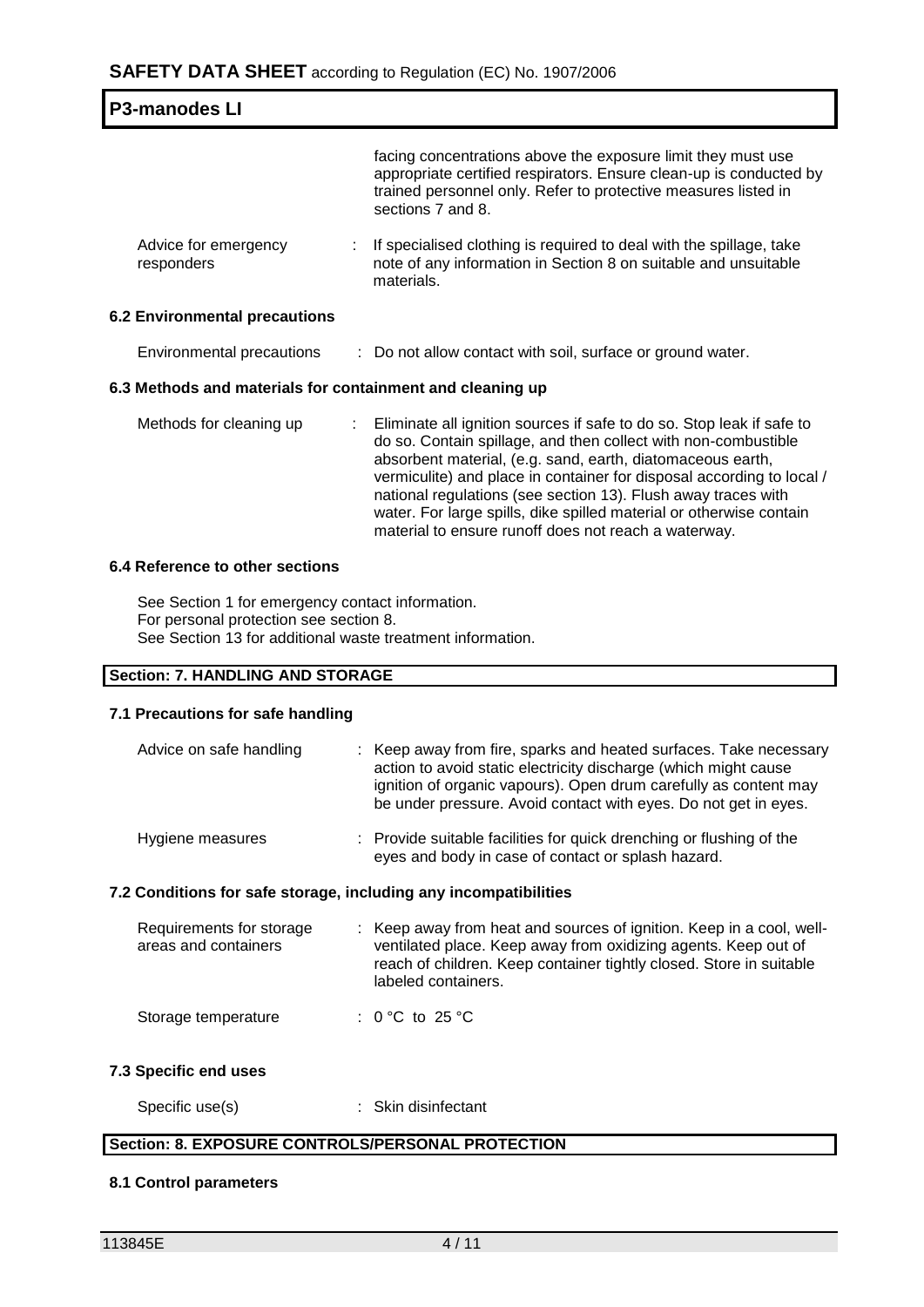| <b>P3-manodes LI</b>                                      |  |                                                                                                                                                                                                                                                                                                                                                                                                                        |  |  |
|-----------------------------------------------------------|--|------------------------------------------------------------------------------------------------------------------------------------------------------------------------------------------------------------------------------------------------------------------------------------------------------------------------------------------------------------------------------------------------------------------------|--|--|
|                                                           |  | facing concentrations above the exposure limit they must use<br>appropriate certified respirators. Ensure clean-up is conducted by<br>trained personnel only. Refer to protective measures listed in<br>sections 7 and 8.                                                                                                                                                                                              |  |  |
| Advice for emergency<br>responders                        |  | If specialised clothing is required to deal with the spillage, take<br>note of any information in Section 8 on suitable and unsuitable<br>materials.                                                                                                                                                                                                                                                                   |  |  |
| <b>6.2 Environmental precautions</b>                      |  |                                                                                                                                                                                                                                                                                                                                                                                                                        |  |  |
| Environmental precautions                                 |  | : Do not allow contact with soil, surface or ground water.                                                                                                                                                                                                                                                                                                                                                             |  |  |
| 6.3 Methods and materials for containment and cleaning up |  |                                                                                                                                                                                                                                                                                                                                                                                                                        |  |  |
| Methods for cleaning up                                   |  | Eliminate all ignition sources if safe to do so. Stop leak if safe to<br>do so. Contain spillage, and then collect with non-combustible<br>absorbent material, (e.g. sand, earth, diatomaceous earth,<br>vermiculite) and place in container for disposal according to local /<br>national regulations (see section 13). Flush away traces with<br>water. For large spills, dike spilled material or otherwise contain |  |  |

#### **6.4 Reference to other sections**

See Section 1 for emergency contact information. For personal protection see section 8. See Section 13 for additional waste treatment information.

## **Section: 7. HANDLING AND STORAGE**

## **7.1 Precautions for safe handling**

| Advice on safe handling                                          | : Keep away from fire, sparks and heated surfaces. Take necessary<br>action to avoid static electricity discharge (which might cause<br>ignition of organic vapours). Open drum carefully as content may<br>be under pressure. Avoid contact with eyes. Do not get in eyes. |
|------------------------------------------------------------------|-----------------------------------------------------------------------------------------------------------------------------------------------------------------------------------------------------------------------------------------------------------------------------|
| Hygiene measures                                                 | : Provide suitable facilities for quick drenching or flushing of the<br>eyes and body in case of contact or splash hazard.                                                                                                                                                  |
| 7.2 Conditions for safe storage, including any incompatibilities |                                                                                                                                                                                                                                                                             |

material to ensure runoff does not reach a waterway.

| Requirements for storage<br>areas and containers | : Keep away from heat and sources of ignition. Keep in a cool, well-<br>ventilated place. Keep away from oxidizing agents. Keep out of<br>reach of children. Keep container tightly closed. Store in suitable<br>labeled containers. |
|--------------------------------------------------|--------------------------------------------------------------------------------------------------------------------------------------------------------------------------------------------------------------------------------------|
| Storage temperature                              | : 0 °C to 25 °C                                                                                                                                                                                                                      |

#### **7.3 Specific end uses**

| Specific use(s) | Skin disinfectant |
|-----------------|-------------------|
|-----------------|-------------------|

# **Section: 8. EXPOSURE CONTROLS/PERSONAL PROTECTION**

#### **8.1 Control parameters**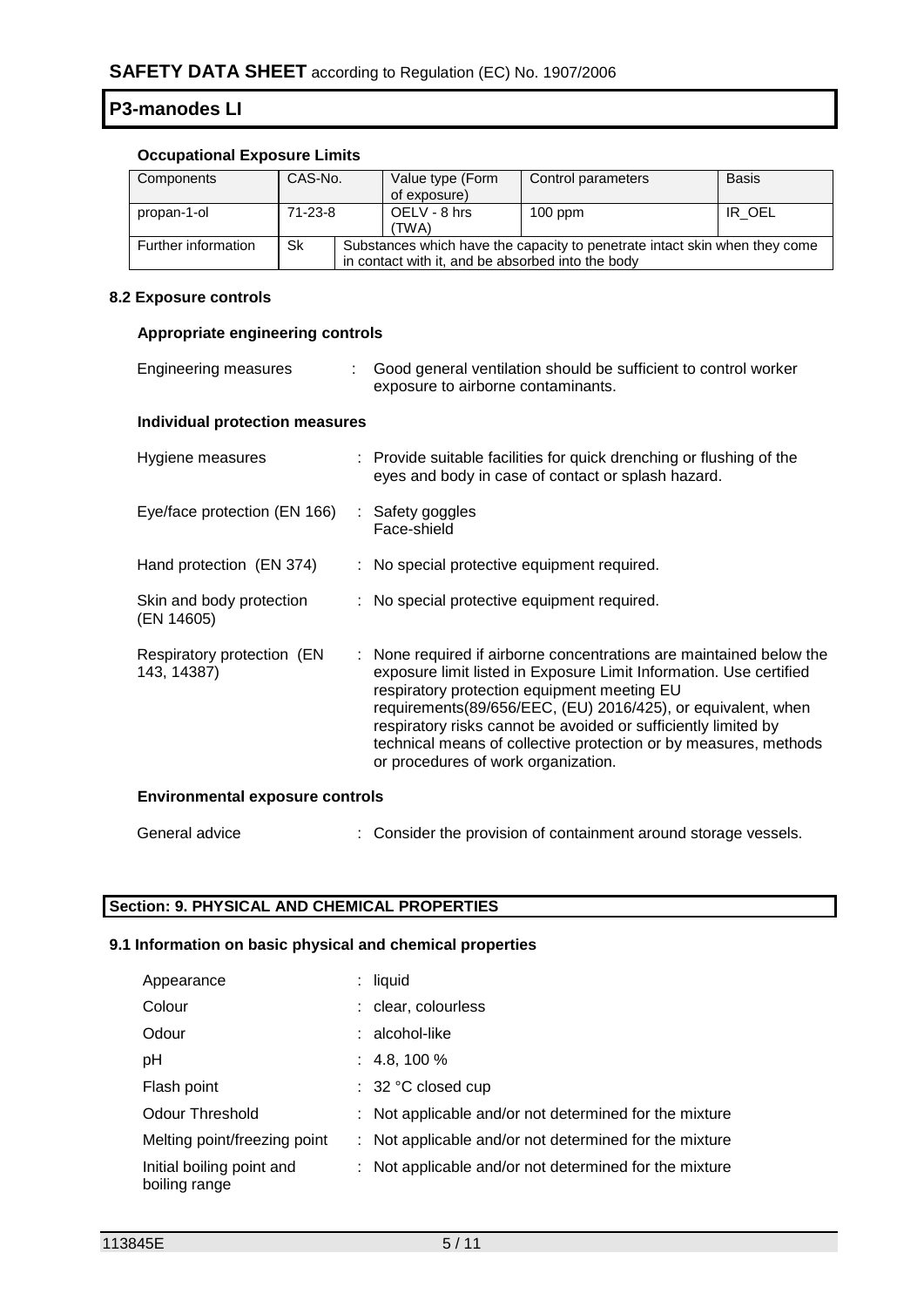## **Occupational Exposure Limits**

| Components          | CAS-No. |                                                                                                                                 | Value type (Form<br>of exposure) | Control parameters | <b>Basis</b> |
|---------------------|---------|---------------------------------------------------------------------------------------------------------------------------------|----------------------------------|--------------------|--------------|
| propan-1-ol         | 71-23-8 |                                                                                                                                 | OELV - 8 hrs<br>(TWA)            | $100$ ppm          | IR OEL       |
| Further information | Sk      | Substances which have the capacity to penetrate intact skin when they come<br>in contact with it, and be absorbed into the body |                                  |                    |              |

## **8.2 Exposure controls**

## **Appropriate engineering controls**

| Engineering measures                      | ÷ | Good general ventilation should be sufficient to control worker<br>exposure to airborne contaminants.                                                                                                                                                                                                                                                                                                                                 |  |
|-------------------------------------------|---|---------------------------------------------------------------------------------------------------------------------------------------------------------------------------------------------------------------------------------------------------------------------------------------------------------------------------------------------------------------------------------------------------------------------------------------|--|
| Individual protection measures            |   |                                                                                                                                                                                                                                                                                                                                                                                                                                       |  |
| Hygiene measures                          |   | : Provide suitable facilities for quick drenching or flushing of the<br>eyes and body in case of contact or splash hazard.                                                                                                                                                                                                                                                                                                            |  |
| Eye/face protection (EN 166)              |   | : Safety goggles<br>Face-shield                                                                                                                                                                                                                                                                                                                                                                                                       |  |
| Hand protection (EN 374)                  |   | : No special protective equipment required.                                                                                                                                                                                                                                                                                                                                                                                           |  |
| Skin and body protection<br>(EN 14605)    |   | : No special protective equipment required.                                                                                                                                                                                                                                                                                                                                                                                           |  |
| Respiratory protection (EN<br>143, 14387) |   | : None required if airborne concentrations are maintained below the<br>exposure limit listed in Exposure Limit Information. Use certified<br>respiratory protection equipment meeting EU<br>requirements(89/656/EEC, (EU) 2016/425), or equivalent, when<br>respiratory risks cannot be avoided or sufficiently limited by<br>technical means of collective protection or by measures, methods<br>or procedures of work organization. |  |
| <b>Environmental exposure controls</b>    |   |                                                                                                                                                                                                                                                                                                                                                                                                                                       |  |

# General advice : Consider the provision of containment around storage vessels.

# **Section: 9. PHYSICAL AND CHEMICAL PROPERTIES**

# **9.1 Information on basic physical and chemical properties**

| Appearance                                 | $:$ liquid                                             |
|--------------------------------------------|--------------------------------------------------------|
| Colour                                     | : clear, colourless                                    |
| Odour                                      | : alcohol-like                                         |
| рH                                         | $: 4.8, 100 \%$                                        |
| Flash point                                | $\therefore$ 32 °C closed cup                          |
| <b>Odour Threshold</b>                     | : Not applicable and/or not determined for the mixture |
| Melting point/freezing point               | : Not applicable and/or not determined for the mixture |
| Initial boiling point and<br>boiling range | : Not applicable and/or not determined for the mixture |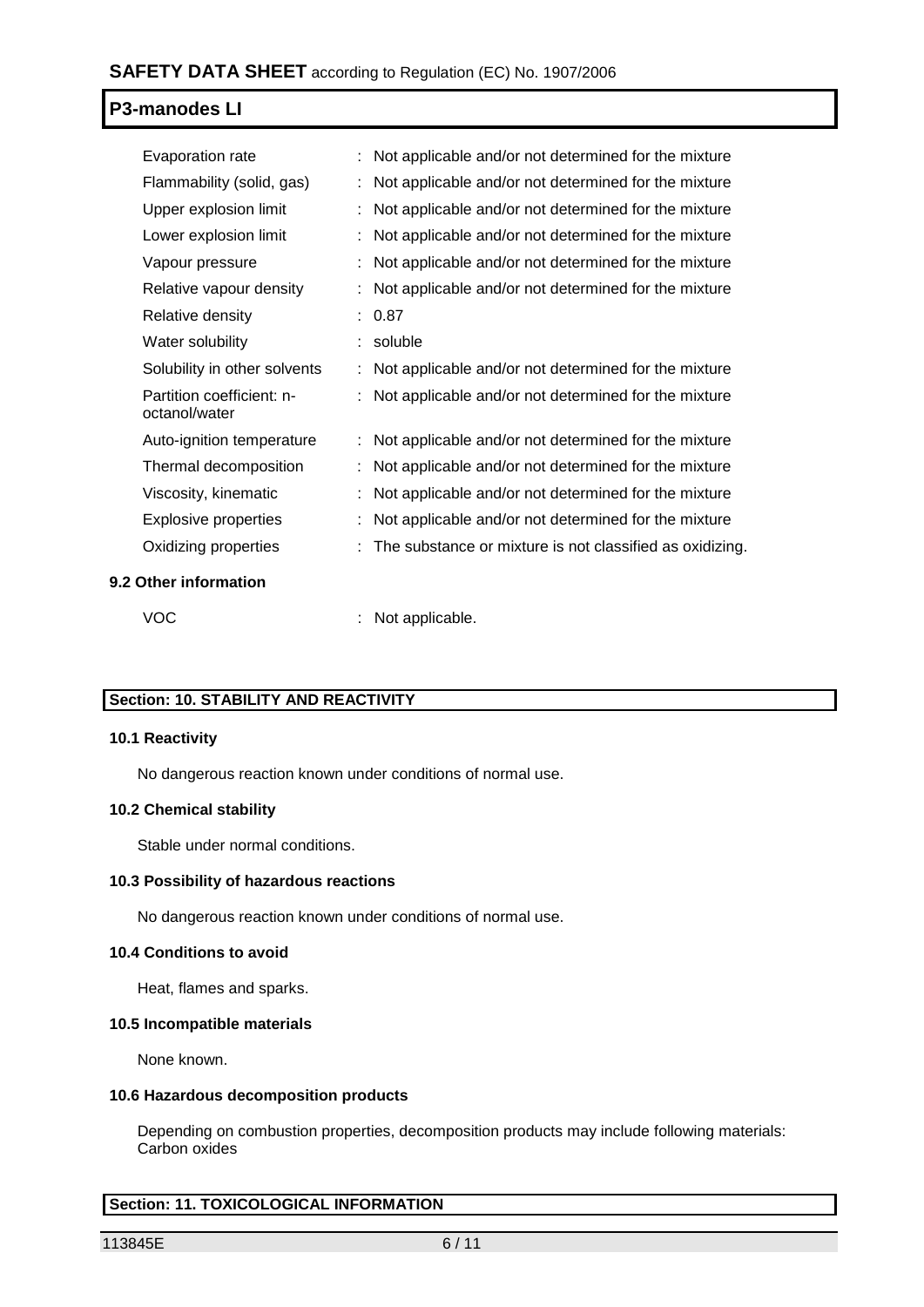| Evaporation rate                           | Not applicable and/or not determined for the mixture     |
|--------------------------------------------|----------------------------------------------------------|
| Flammability (solid, gas)                  | Not applicable and/or not determined for the mixture     |
| Upper explosion limit                      | Not applicable and/or not determined for the mixture     |
| Lower explosion limit                      | Not applicable and/or not determined for the mixture     |
| Vapour pressure                            | Not applicable and/or not determined for the mixture     |
| Relative vapour density                    | Not applicable and/or not determined for the mixture     |
| Relative density                           | : 0.87                                                   |
| Water solubility                           | soluble                                                  |
| Solubility in other solvents               | Not applicable and/or not determined for the mixture     |
| Partition coefficient: n-<br>octanol/water | Not applicable and/or not determined for the mixture     |
| Auto-ignition temperature                  | Not applicable and/or not determined for the mixture     |
| Thermal decomposition                      | Not applicable and/or not determined for the mixture     |
| Viscosity, kinematic                       | Not applicable and/or not determined for the mixture     |
| Explosive properties                       | Not applicable and/or not determined for the mixture     |
| Oxidizing properties                       | The substance or mixture is not classified as oxidizing. |
| 9.2 Other information                      |                                                          |

VOC : Not applicable.

# **Section: 10. STABILITY AND REACTIVITY**

#### **10.1 Reactivity**

No dangerous reaction known under conditions of normal use.

## **10.2 Chemical stability**

Stable under normal conditions.

#### **10.3 Possibility of hazardous reactions**

No dangerous reaction known under conditions of normal use.

#### **10.4 Conditions to avoid**

Heat, flames and sparks.

#### **10.5 Incompatible materials**

None known.

#### **10.6 Hazardous decomposition products**

Depending on combustion properties, decomposition products may include following materials: Carbon oxides

## **Section: 11. TOXICOLOGICAL INFORMATION**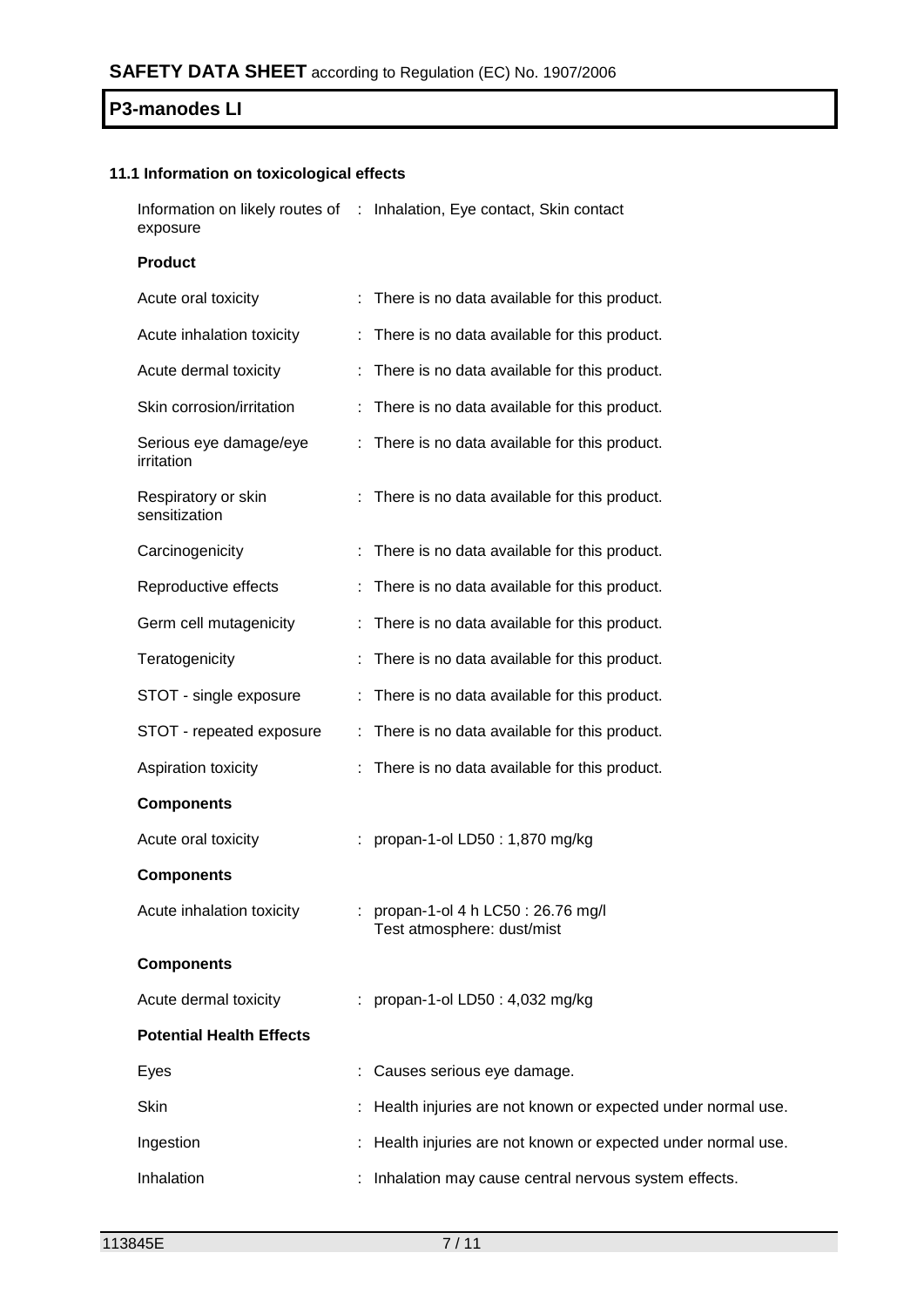## **11.1 Information on toxicological effects**

Information on likely routes of : Inhalation, Eye contact, Skin contact exposure

**Product**

| Acute oral toxicity                  |    | : There is no data available for this product.                  |
|--------------------------------------|----|-----------------------------------------------------------------|
| Acute inhalation toxicity            |    | : There is no data available for this product.                  |
| Acute dermal toxicity                |    | There is no data available for this product.                    |
| Skin corrosion/irritation            |    | There is no data available for this product.                    |
| Serious eye damage/eye<br>irritation |    | There is no data available for this product.                    |
| Respiratory or skin<br>sensitization |    | There is no data available for this product.                    |
| Carcinogenicity                      |    | There is no data available for this product.                    |
| Reproductive effects                 |    | There is no data available for this product.                    |
| Germ cell mutagenicity               |    | : There is no data available for this product.                  |
| Teratogenicity                       |    | There is no data available for this product.                    |
| STOT - single exposure               |    | There is no data available for this product.                    |
| STOT - repeated exposure             |    | There is no data available for this product.                    |
| Aspiration toxicity                  | ÷. | There is no data available for this product.                    |
| <b>Components</b>                    |    |                                                                 |
| Acute oral toxicity                  |    | propan-1-ol LD50: 1,870 mg/kg                                   |
| <b>Components</b>                    |    |                                                                 |
| Acute inhalation toxicity            |    | propan-1-ol 4 h LC50 : 26.76 mg/l<br>Test atmosphere: dust/mist |
| <b>Components</b>                    |    |                                                                 |
| Acute dermal toxicity                |    | : propan-1-ol LD50 : 4,032 mg/kg                                |
| <b>Potential Health Effects</b>      |    |                                                                 |
| Eyes                                 |    | Causes serious eye damage.                                      |
| Skin                                 |    | Health injuries are not known or expected under normal use.     |
| Ingestion                            |    | Health injuries are not known or expected under normal use.     |
| Inhalation                           |    | Inhalation may cause central nervous system effects.            |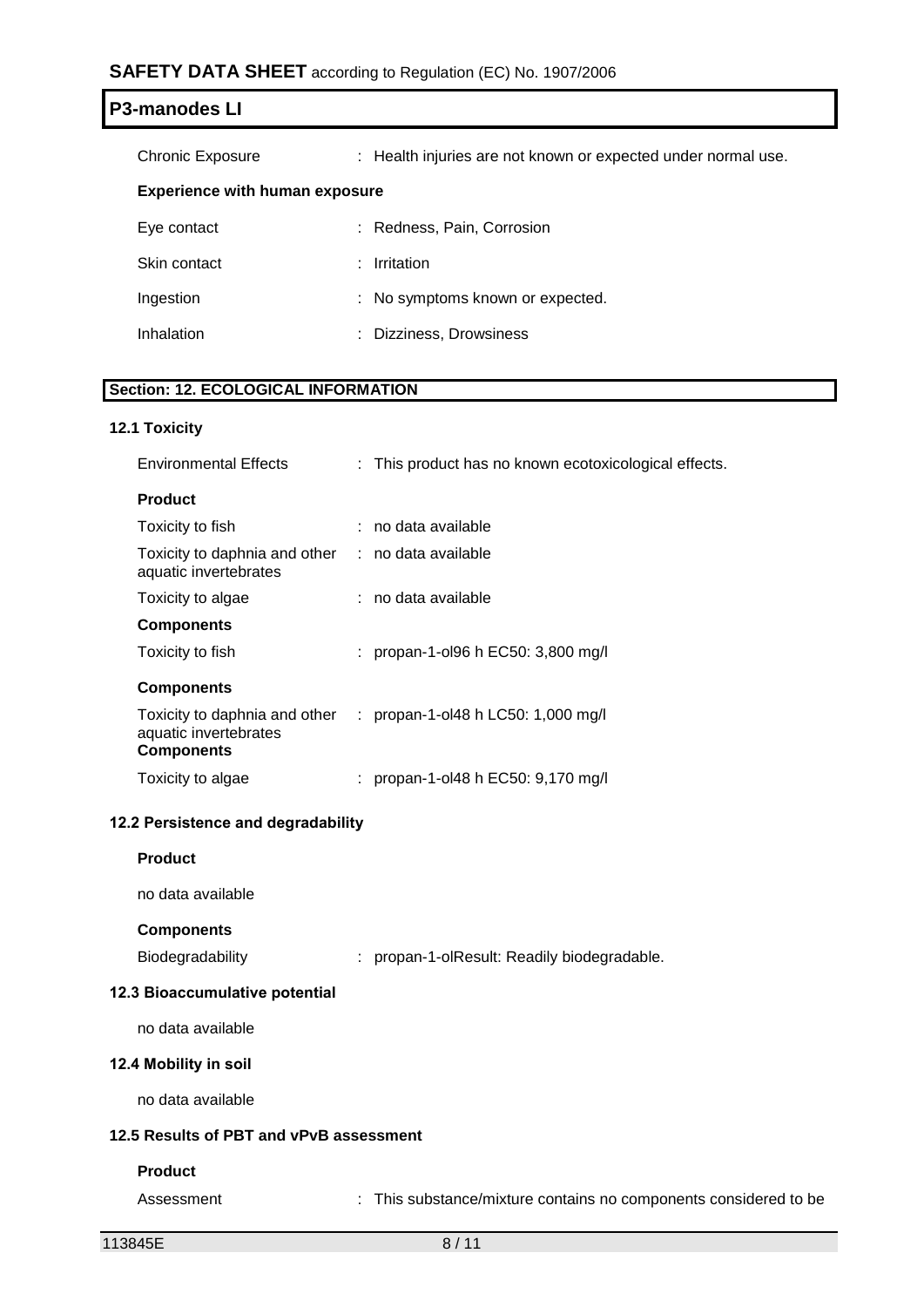# **SAFETY DATA SHEET** according to Regulation (EC) No. 1907/2006

| <b>P3-manodes LI</b>                  |                                                               |
|---------------------------------------|---------------------------------------------------------------|
| <b>Chronic Exposure</b>               | : Health injuries are not known or expected under normal use. |
| <b>Experience with human exposure</b> |                                                               |
| Eye contact                           | : Redness, Pain, Corrosion                                    |
| Skin contact                          | Irritation<br>÷.                                              |
| Ingestion                             | : No symptoms known or expected.                              |
| Inhalation                            | : Dizziness, Drowsiness                                       |
|                                       |                                                               |

# **Section: 12. ECOLOGICAL INFORMATION**

#### **12.1 Toxicity**

| <b>Environmental Effects</b>                                                | : This product has no known ecotoxicological effects. |
|-----------------------------------------------------------------------------|-------------------------------------------------------|
| <b>Product</b>                                                              |                                                       |
| Toxicity to fish                                                            | $:$ no data available                                 |
| Toxicity to daphnia and other : no data available<br>aquatic invertebrates  |                                                       |
| Toxicity to algae                                                           | $:$ no data available                                 |
| <b>Components</b>                                                           |                                                       |
| Toxicity to fish                                                            | : propan-1-ol96 h EC50: 3,800 mg/l                    |
| <b>Components</b>                                                           |                                                       |
| Toxicity to daphnia and other<br>aquatic invertebrates<br><b>Components</b> | : propan-1-ol48 h LC50: 1,000 mg/l                    |
| Toxicity to algae                                                           | : propan-1-ol48 h EC50: $9,170$ mg/l                  |
|                                                                             |                                                       |

## **12.2 Persistence and degradability**

| <b>Product</b> |
|----------------|
|----------------|

no data available

#### **Components**

Biodegradability : propan-1-olResult: Readily biodegradable.

#### **12.3 Bioaccumulative potential**

no data available

## **12.4 Mobility in soil**

no data available

## **12.5 Results of PBT and vPvB assessment**

#### **Product**

Assessment : This substance/mixture contains no components considered to be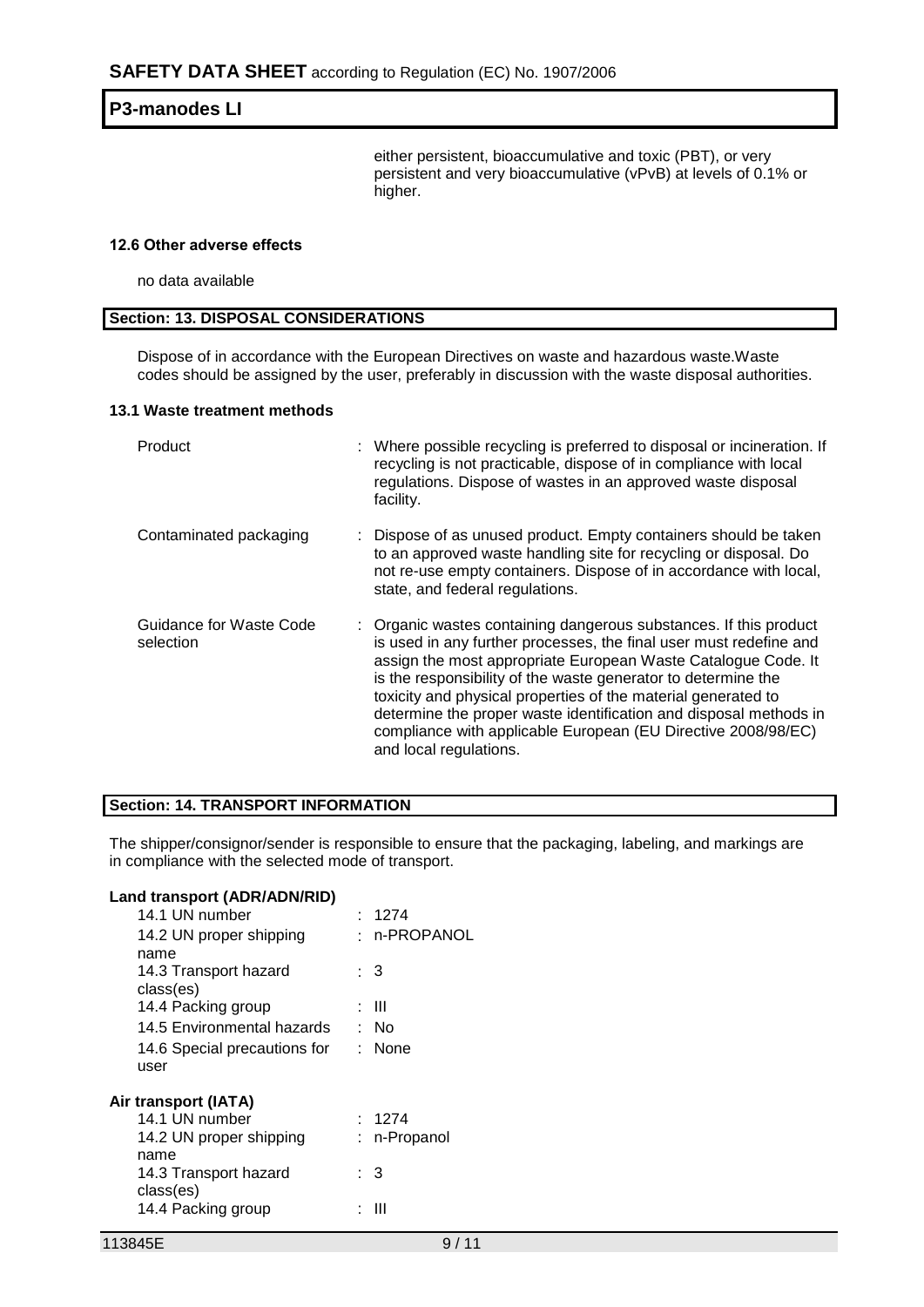either persistent, bioaccumulative and toxic (PBT), or very persistent and very bioaccumulative (vPvB) at levels of 0.1% or higher.

#### **12.6 Other adverse effects**

no data available

#### **Section: 13. DISPOSAL CONSIDERATIONS**

Dispose of in accordance with the European Directives on waste and hazardous waste.Waste codes should be assigned by the user, preferably in discussion with the waste disposal authorities.

#### **13.1 Waste treatment methods**

| Product                              | : Where possible recycling is preferred to disposal or incineration. If<br>recycling is not practicable, dispose of in compliance with local<br>regulations. Dispose of wastes in an approved waste disposal<br>facility.                                                                                                                                                                                                                                                                                  |
|--------------------------------------|------------------------------------------------------------------------------------------------------------------------------------------------------------------------------------------------------------------------------------------------------------------------------------------------------------------------------------------------------------------------------------------------------------------------------------------------------------------------------------------------------------|
| Contaminated packaging               | : Dispose of as unused product. Empty containers should be taken<br>to an approved waste handling site for recycling or disposal. Do<br>not re-use empty containers. Dispose of in accordance with local,<br>state, and federal regulations.                                                                                                                                                                                                                                                               |
| Guidance for Waste Code<br>selection | : Organic wastes containing dangerous substances. If this product<br>is used in any further processes, the final user must redefine and<br>assign the most appropriate European Waste Catalogue Code. It<br>is the responsibility of the waste generator to determine the<br>toxicity and physical properties of the material generated to<br>determine the proper waste identification and disposal methods in<br>compliance with applicable European (EU Directive 2008/98/EC)<br>and local regulations. |

## **Section: 14. TRANSPORT INFORMATION**

The shipper/consignor/sender is responsible to ensure that the packaging, labeling, and markings are in compliance with the selected mode of transport.

| Land transport (ADR/ADN/RID)<br>14.1 UN number | : 1274       |
|------------------------------------------------|--------------|
| 14.2 UN proper shipping                        | : n-PROPANOL |
| name<br>14.3 Transport hazard                  | : 3          |
| class(es)                                      |              |
| 14.4 Packing group                             | : III        |
| 14.5 Environmental hazards                     | : No         |
| 14.6 Special precautions for : None            |              |
| user                                           |              |
| Air transport (IATA)                           |              |
| 14.1 UN number                                 | : 1274       |
| 14.2 UN proper shipping<br>name                | : n-Propanol |
| 14.3 Transport hazard<br>class(es)             | : 3          |
| 14.4 Packing group                             | ш            |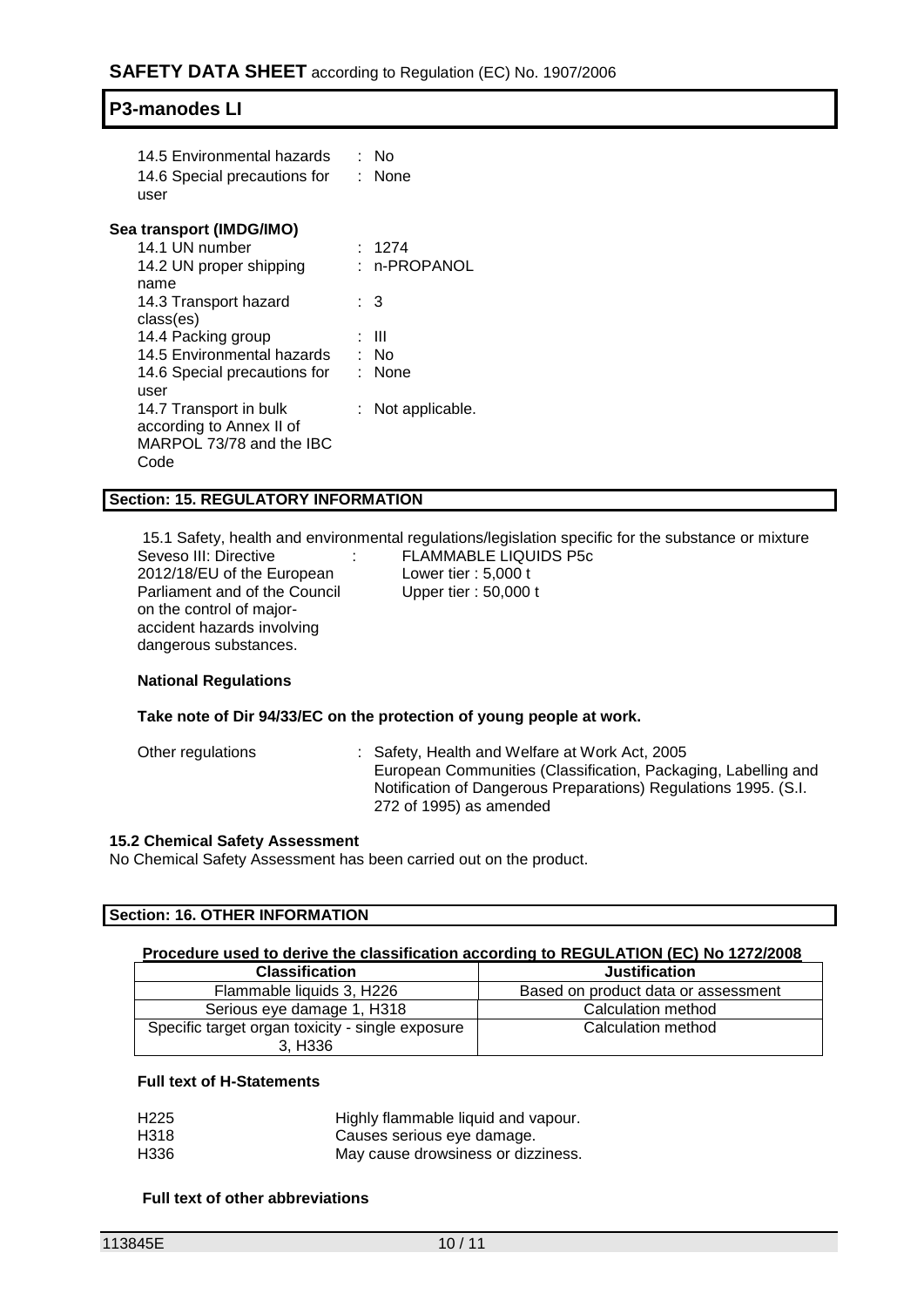| 14.5 Environmental hazards<br>14.6 Special precautions for<br>user | ∙ No<br>: None    |
|--------------------------------------------------------------------|-------------------|
| Sea transport (IMDG/IMO)                                           |                   |
| 14.1 UN number                                                     | : 1274            |
| 14.2 UN proper shipping                                            | : n-PROPANOL      |
| name                                                               |                   |
| 14.3 Transport hazard                                              | : 3               |
| class(es)                                                          |                   |
| 14.4 Packing group                                                 | : III             |
| 14.5 Environmental hazards                                         | : No              |
| 14.6 Special precautions for                                       | : None            |
| user                                                               |                   |
| 14.7 Transport in bulk                                             | : Not applicable. |
| according to Annex II of                                           |                   |
| MARPOL 73/78 and the IBC                                           |                   |
| Code                                                               |                   |

#### **Section: 15. REGULATORY INFORMATION**

15.1 Safety, health and environmental regulations/legislation specific for the substance or mixture Seveso III: Directive 2012/18/EU of the European Parliament and of the Council on the control of majoraccident hazards involving dangerous substances.

: FLAMMABLE LIQUIDS P5c Lower tier : 5,000 t Upper tier : 50,000 t

#### **National Regulations**

#### **Take note of Dir 94/33/EC on the protection of young people at work.**

Other regulations : Safety, Health and Welfare at Work Act, 2005 European Communities (Classification, Packaging, Labelling and Notification of Dangerous Preparations) Regulations 1995. (S.I. 272 of 1995) as amended

#### **15.2 Chemical Safety Assessment**

No Chemical Safety Assessment has been carried out on the product.

#### **Section: 16. OTHER INFORMATION**

#### **Procedure used to derive the classification according to REGULATION (EC) No 1272/2008**

| <b>Classification</b>                                       | <b>Justification</b>                |  |  |
|-------------------------------------------------------------|-------------------------------------|--|--|
| Flammable liquids 3. H226                                   | Based on product data or assessment |  |  |
| Serious eye damage 1, H318                                  | Calculation method                  |  |  |
| Specific target organ toxicity - single exposure<br>3, H336 | Calculation method                  |  |  |

#### **Full text of H-Statements**

| H <sub>225</sub> | Highly flammable liquid and vapour. |
|------------------|-------------------------------------|
| H318             | Causes serious eye damage.          |
| H336             | May cause drowsiness or dizziness.  |

#### **Full text of other abbreviations**